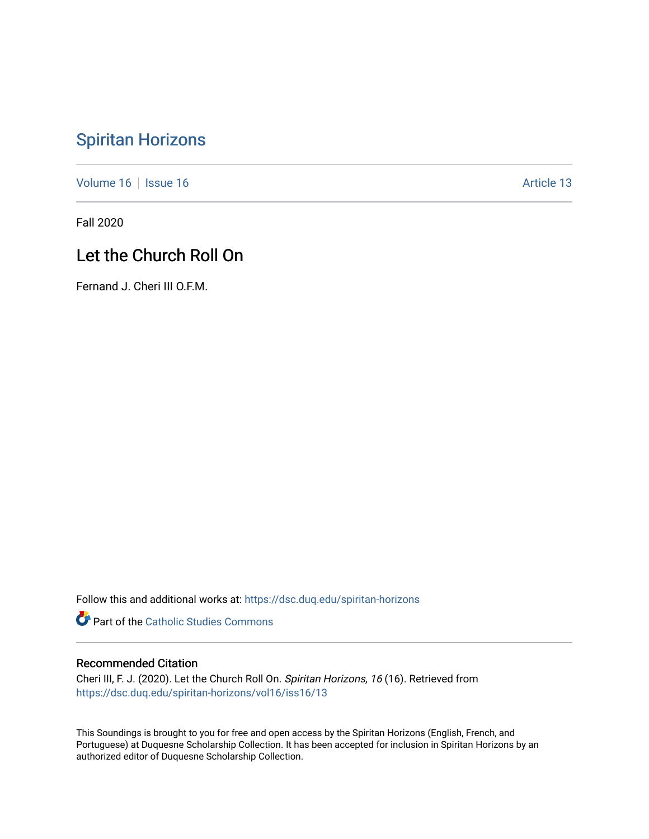# [Spiritan Horizons](https://dsc.duq.edu/spiritan-horizons)

[Volume 16](https://dsc.duq.edu/spiritan-horizons/vol16) | [Issue 16](https://dsc.duq.edu/spiritan-horizons/vol16/iss16) | Issue 16 | Issue 16 | Issue 16 | Issue 16 | Issue 16 | Issue 16 | Issue 16 | Issue 16 | Issue 16 | Issue 16 | Issue 16 | Issue 16 | Issue 16 | Issue 16 | Issue 16 | Issue 16 | Issue 16 | Issue 16 | I

Fall 2020

## Let the Church Roll On

Fernand J. Cheri III O.F.M.

Follow this and additional works at: [https://dsc.duq.edu/spiritan-horizons](https://dsc.duq.edu/spiritan-horizons?utm_source=dsc.duq.edu%2Fspiritan-horizons%2Fvol16%2Fiss16%2F13&utm_medium=PDF&utm_campaign=PDFCoverPages)

**Part of the [Catholic Studies Commons](http://network.bepress.com/hgg/discipline/1294?utm_source=dsc.duq.edu%2Fspiritan-horizons%2Fvol16%2Fiss16%2F13&utm_medium=PDF&utm_campaign=PDFCoverPages)** 

### Recommended Citation

Cheri III, F. J. (2020). Let the Church Roll On. Spiritan Horizons, 16 (16). Retrieved from [https://dsc.duq.edu/spiritan-horizons/vol16/iss16/13](https://dsc.duq.edu/spiritan-horizons/vol16/iss16/13?utm_source=dsc.duq.edu%2Fspiritan-horizons%2Fvol16%2Fiss16%2F13&utm_medium=PDF&utm_campaign=PDFCoverPages) 

This Soundings is brought to you for free and open access by the Spiritan Horizons (English, French, and Portuguese) at Duquesne Scholarship Collection. It has been accepted for inclusion in Spiritan Horizons by an authorized editor of Duquesne Scholarship Collection.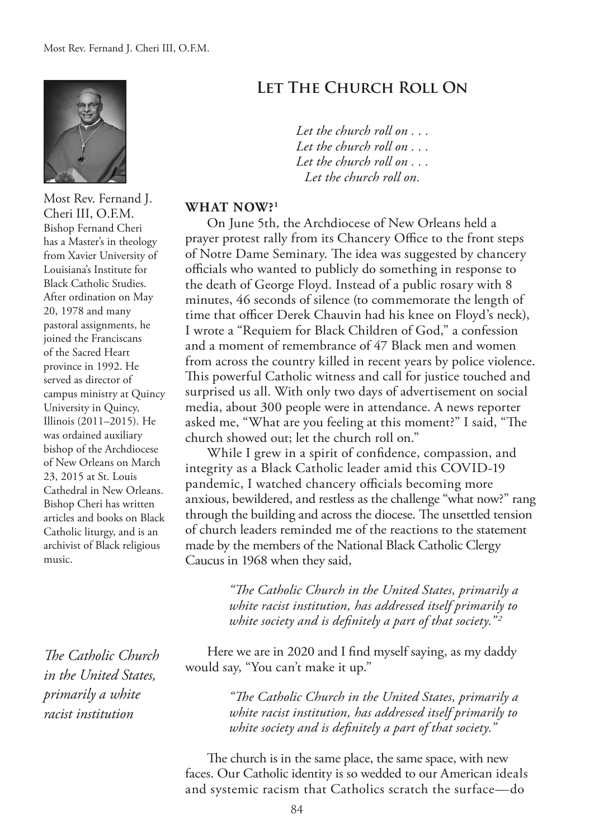

Most Rev. Fernand J. Cheri III, O.F.M. Bishop Fernand Cheri has a Master's in theology from Xavier University of Louisiana's Institute for Black Catholic Studies. After ordination on May 20, 1978 and many pastoral assignments, he joined the Franciscans of the Sacred Heart province in 1992. He served as director of campus ministry at Quincy University in Quincy, Illinois (2011–2015). He was ordained auxiliary bishop of the Archdiocese of New Orleans on March 23, 2015 at St. Louis Cathedral in New Orleans. Bishop Cheri has written articles and books on Black Catholic liturgy, and is an archivist of Black religious music.

*The Catholic Church in the United States, primarily a white racist institution*

## **Let The Church Roll On**

*Let the church roll on . . . Let the church roll on . . . Let the church roll on . . . Let the church roll on.*

#### **WHAT NOW?1**

On June 5th, the Archdiocese of New Orleans held a prayer protest rally from its Chancery Office to the front steps of Notre Dame Seminary. The idea was suggested by chancery officials who wanted to publicly do something in response to the death of George Floyd. Instead of a public rosary with 8 minutes, 46 seconds of silence (to commemorate the length of time that officer Derek Chauvin had his knee on Floyd's neck), I wrote a "Requiem for Black Children of God," a confession and a moment of remembrance of 47 Black men and women from across the country killed in recent years by police violence. This powerful Catholic witness and call for justice touched and surprised us all. With only two days of advertisement on social media, about 300 people were in attendance. A news reporter asked me, "What are you feeling at this moment?" I said, "The church showed out; let the church roll on."

While I grew in a spirit of confdence, compassion, and integrity as a Black Catholic leader amid this COVID-19 pandemic, I watched chancery officials becoming more anxious, bewildered, and restless as the challenge "what now?" rang through the building and across the diocese. The unsettled tension of church leaders reminded me of the reactions to the statement made by the members of the National Black Catholic Clergy Caucus in 1968 when they said,

> *"Te Catholic Church in the United States, primarily a white racist institution, has addressed itself primarily to white society and is definitely a part of that society.*"<sup>2</sup>

Here we are in 2020 and I fnd myself saying, as my daddy would say, "You can't make it up."

> *"Te Catholic Church in the United States, primarily a white racist institution, has addressed itself primarily to white society and is defnitely a part of that society."*

The church is in the same place, the same space, with new faces. Our Catholic identity is so wedded to our American ideals and systemic racism that Catholics scratch the surface—do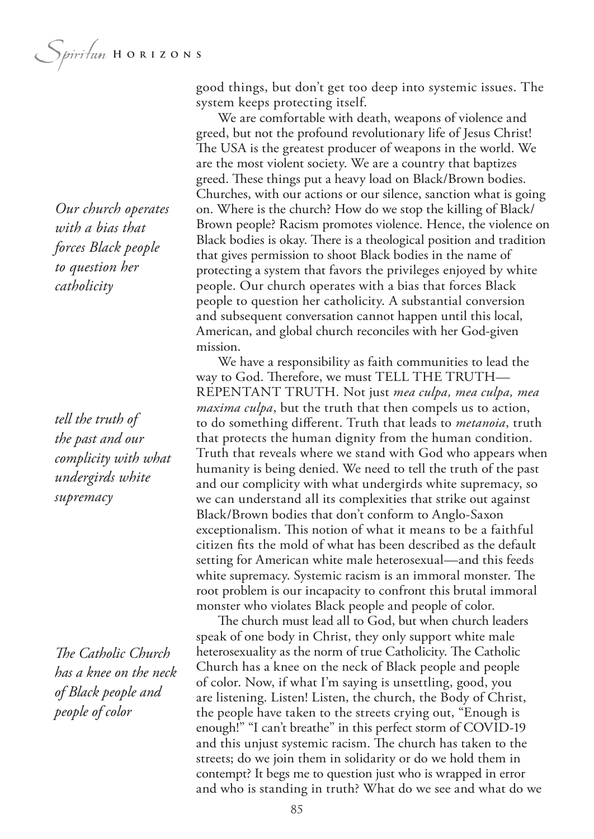*Our church operates with a bias that forces Black people to question her catholicity*

*tell the truth of the past and our complicity with what undergirds white supremacy*

*The Catholic Church has a knee on the neck of Black people and people of color*

good things, but don't get too deep into systemic issues. The system keeps protecting itself.

We are comfortable with death, weapons of violence and greed, but not the profound revolutionary life of Jesus Christ! The USA is the greatest producer of weapons in the world. We are the most violent society. We are a country that baptizes greed. These things put a heavy load on Black/Brown bodies. Churches, with our actions or our silence, sanction what is going on. Where is the church? How do we stop the killing of Black/ Brown people? Racism promotes violence. Hence, the violence on Black bodies is okay. There is a theological position and tradition that gives permission to shoot Black bodies in the name of protecting a system that favors the privileges enjoyed by white people. Our church operates with a bias that forces Black people to question her catholicity. A substantial conversion and subsequent conversation cannot happen until this local, American, and global church reconciles with her God-given mission.

We have a responsibility as faith communities to lead the way to God. Therefore, we must TELL THE TRUTH— REPENTANT TRUTH. Not just *mea culpa, mea culpa, mea maxima culpa*, but the truth that then compels us to action, to do something diferent. Truth that leads to *metanoia*, truth that protects the human dignity from the human condition. Truth that reveals where we stand with God who appears when humanity is being denied. We need to tell the truth of the past and our complicity with what undergirds white supremacy, so we can understand all its complexities that strike out against Black/Brown bodies that don't conform to Anglo-Saxon exceptionalism. This notion of what it means to be a faithful citizen fts the mold of what has been described as the default setting for American white male heterosexual—and this feeds white supremacy. Systemic racism is an immoral monster. The root problem is our incapacity to confront this brutal immoral monster who violates Black people and people of color.

The church must lead all to God, but when church leaders speak of one body in Christ, they only support white male heterosexuality as the norm of true Catholicity. The Catholic Church has a knee on the neck of Black people and people of color. Now, if what I'm saying is unsettling, good, you are listening. Listen! Listen, the church, the Body of Christ, the people have taken to the streets crying out, "Enough is enough!" "I can't breathe" in this perfect storm of COVID-19 and this unjust systemic racism. The church has taken to the streets; do we join them in solidarity or do we hold them in contempt? It begs me to question just who is wrapped in error and who is standing in truth? What do we see and what do we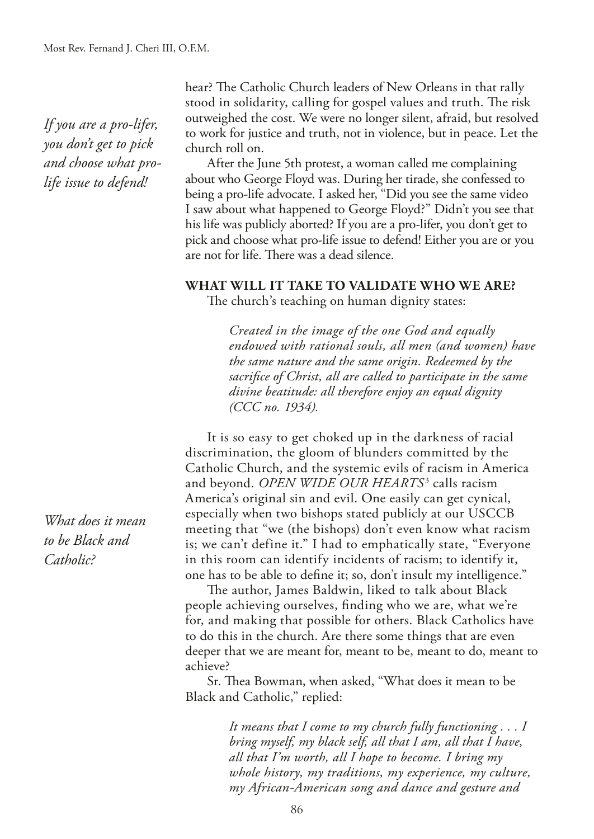*If you are a pro-lifer, you don't get to pick and choose what prolife issue to defend!*

*What does it mean to be Black and Catholic?*

hear? The Catholic Church leaders of New Orleans in that rally stood in solidarity, calling for gospel values and truth. The risk outweighed the cost. We were no longer silent, afraid, but resolved to work for justice and truth, not in violence, but in peace. Let the church roll on.

After the June 5th protest, a woman called me complaining about who George Floyd was. During her tirade, she confessed to being a pro-life advocate. I asked her, "Did you see the same video I saw about what happened to George Floyd?" Didn't you see that his life was publicly aborted? If you are a pro-lifer, you don't get to pick and choose what pro-life issue to defend! Either you are or you are not for life. There was a dead silence.

#### **WHAT WILL IT TAKE TO VALIDATE WHO WE ARE?**

The church's teaching on human dignity states:

*Created in the image of the one God and equally endowed with rational souls, all men (and women) have the same nature and the same origin. Redeemed by the sacrifce of Christ, all are called to participate in the same divine beatitude: all therefore enjoy an equal dignity (CCC no. 1934).*

It is so easy to get choked up in the darkness of racial discrimination, the gloom of blunders committed by the Catholic Church, and the systemic evils of racism in America and beyond. *OPEN WIDE OUR HEARTS*<sup>3</sup> calls racism America's original sin and evil. One easily can get cynical, especially when two bishops stated publicly at our USCCB meeting that "we (the bishops) don't even know what racism is; we can't define it." I had to emphatically state, "Everyone in this room can identify incidents of racism; to identify it, one has to be able to defne it; so, don't insult my intelligence."

The author, James Baldwin, liked to talk about Black people achieving ourselves, fnding who we are, what we're for, and making that possible for others. Black Catholics have to do this in the church. Are there some things that are even deeper that we are meant for, meant to be, meant to do, meant to achieve?

Sr. Thea Bowman, when asked, "What does it mean to be Black and Catholic," replied:

> *It means that I come to my church fully functioning . . . I bring myself, my black self, all that I am, all that I have, all that I'm worth, all I hope to become. I bring my whole history, my traditions, my experience, my culture, my African-American song and dance and gesture and*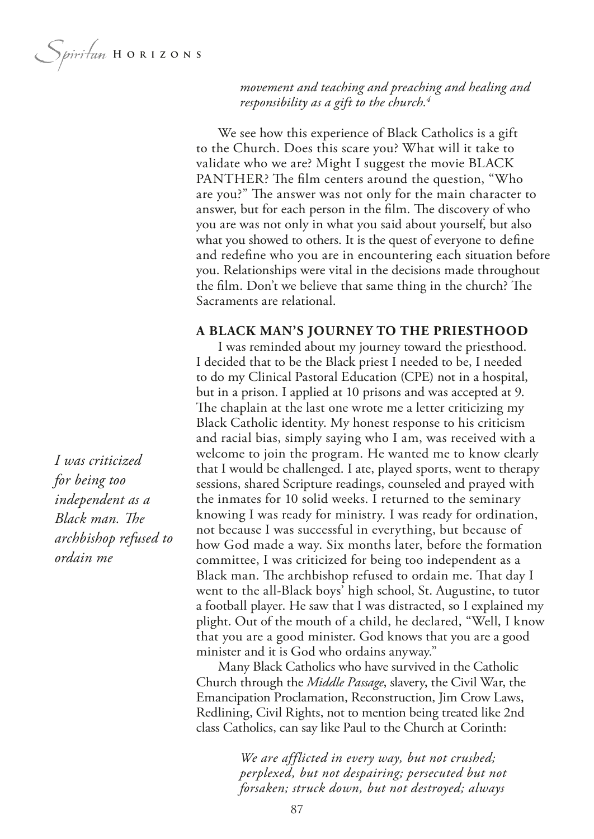*Spiritum* HORIZONS

*movement and teaching and preaching and healing and responsibility as a gift to the church.4*

We see how this experience of Black Catholics is a gift to the Church. Does this scare you? What will it take to validate who we are? Might I suggest the movie BLACK PANTHER? The film centers around the question, "Who are you?" The answer was not only for the main character to answer, but for each person in the film. The discovery of who you are was not only in what you said about yourself, but also what you showed to others. It is the quest of everyone to defne and redefne who you are in encountering each situation before you. Relationships were vital in the decisions made throughout the film. Don't we believe that same thing in the church? The Sacraments are relational.

#### **A BLACK MAN'S JOURNEY TO THE PRIESTHOOD**

I was reminded about my journey toward the priesthood. I decided that to be the Black priest I needed to be, I needed to do my Clinical Pastoral Education (CPE) not in a hospital, but in a prison. I applied at 10 prisons and was accepted at 9. The chaplain at the last one wrote me a letter criticizing my Black Catholic identity. My honest response to his criticism and racial bias, simply saying who I am, was received with a welcome to join the program. He wanted me to know clearly that I would be challenged. I ate, played sports, went to therapy sessions, shared Scripture readings, counseled and prayed with the inmates for 10 solid weeks. I returned to the seminary knowing I was ready for ministry. I was ready for ordination, not because I was successful in everything, but because of how God made a way. Six months later, before the formation committee, I was criticized for being too independent as a Black man. The archbishop refused to ordain me. That day I went to the all-Black boys' high school, St. Augustine, to tutor a football player. He saw that I was distracted, so I explained my plight. Out of the mouth of a child, he declared, "Well, I know that you are a good minister. God knows that you are a good minister and it is God who ordains anyway."

Many Black Catholics who have survived in the Catholic Church through the *Middle Passage*, slavery, the Civil War, the Emancipation Proclamation, Reconstruction, Jim Crow Laws, Redlining, Civil Rights, not to mention being treated like 2nd class Catholics, can say like Paul to the Church at Corinth:

> *We are afflicted in every way, but not crushed; perplexed, but not despairing; persecuted but not forsaken; struck down, but not destroyed; always*

*I was criticized for being too independent as a Black man. The archbishop refused to ordain me*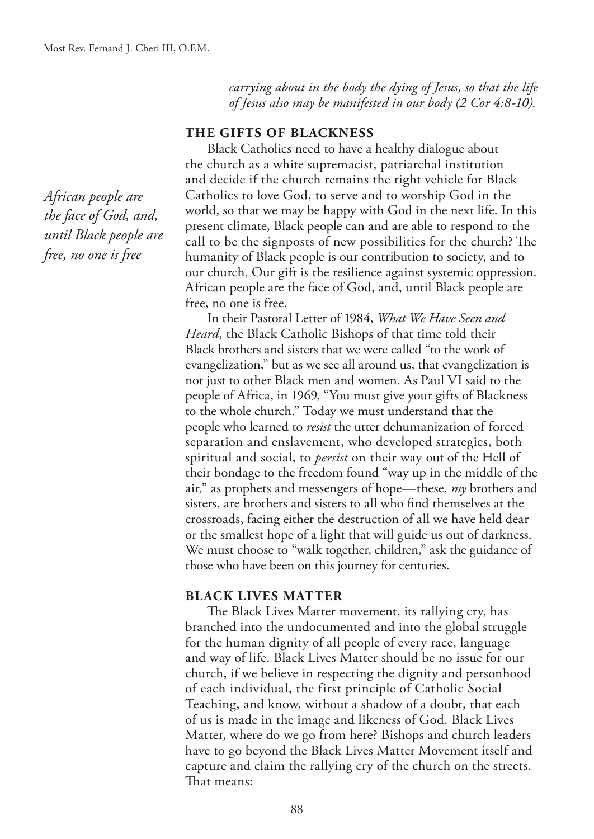*African people are the face of God, and, until Black people are free, no one is free*

*carrying about in the body the dying of Jesus, so that the life of Jesus also may be manifested in our body (2 Cor 4:8-10).*

#### **THE GIFTS OF BLACKNESS**

Black Catholics need to have a healthy dialogue about the church as a white supremacist, patriarchal institution and decide if the church remains the right vehicle for Black Catholics to love God, to serve and to worship God in the world, so that we may be happy with God in the next life. In this present climate, Black people can and are able to respond to the call to be the signposts of new possibilities for the church? The humanity of Black people is our contribution to society, and to our church. Our gift is the resilience against systemic oppression. African people are the face of God, and, until Black people are free, no one is free.

In their Pastoral Letter of 1984, *What We Have Seen and Heard*, the Black Catholic Bishops of that time told their Black brothers and sisters that we were called "to the work of evangelization," but as we see all around us, that evangelization is not just to other Black men and women. As Paul VI said to the people of Africa, in 1969, "You must give your gifts of Blackness to the whole church." Today we must understand that the people who learned to *resist* the utter dehumanization of forced separation and enslavement, who developed strategies, both spiritual and social, to *persist* on their way out of the Hell of their bondage to the freedom found "way up in the middle of the air," as prophets and messengers of hope—these, *my* brothers and sisters, are brothers and sisters to all who fnd themselves at the crossroads, facing either the destruction of all we have held dear or the smallest hope of a light that will guide us out of darkness. We must choose to "walk together, children," ask the guidance of those who have been on this journey for centuries.

#### **BLACK LIVES MATTER**

The Black Lives Matter movement, its rallying cry, has branched into the undocumented and into the global struggle for the human dignity of all people of every race, language and way of life. Black Lives Matter should be no issue for our church, if we believe in respecting the dignity and personhood of each individual, the first principle of Catholic Social Teaching, and know, without a shadow of a doubt, that each of us is made in the image and likeness of God. Black Lives Matter, where do we go from here? Bishops and church leaders have to go beyond the Black Lives Matter Movement itself and capture and claim the rallying cry of the church on the streets. That means: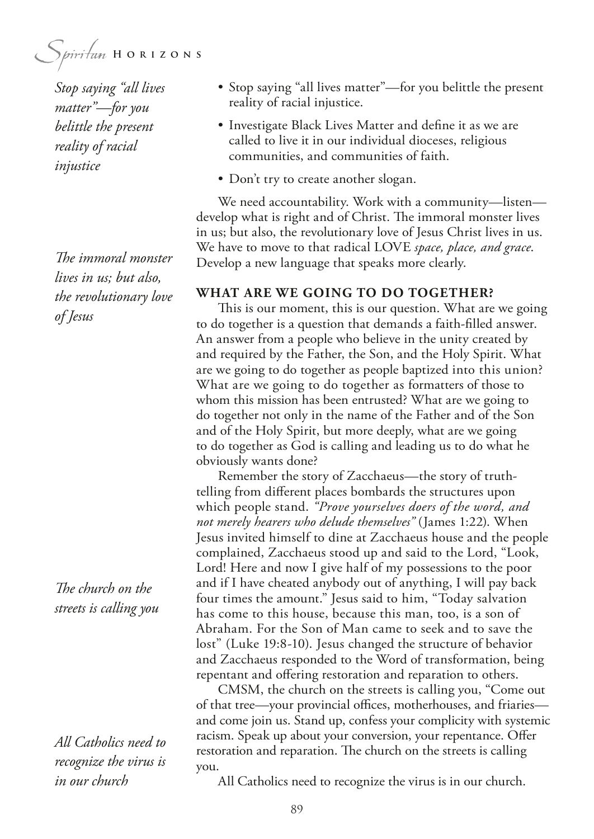Spiritan HORIZONS

*Stop saying "all lives matter"—for you belittle the present reality of racial injustice*

The *immoral* monster *lives in us; but also, the revolutionary love of Jesus*

The church on the *streets is calling you*

*All Catholics need to recognize the virus is in our church*

- Stop saying "all lives matter"—for you belittle the present reality of racial injustice.
- Investigate Black Lives Matter and defne it as we are called to live it in our individual dioceses, religious communities, and communities of faith.
- Don't try to create another slogan.

We need accountability. Work with a community—listen develop what is right and of Christ. The immoral monster lives in us; but also, the revolutionary love of Jesus Christ lives in us. We have to move to that radical LOVE *space, place, and grace*. Develop a new language that speaks more clearly.

#### **WHAT ARE WE GOING TO DO TOGETHER?**

This is our moment, this is our question. What are we going to do together is a question that demands a faith-flled answer. An answer from a people who believe in the unity created by and required by the Father, the Son, and the Holy Spirit. What are we going to do together as people baptized into this union? What are we going to do together as formatters of those to whom this mission has been entrusted? What are we going to do together not only in the name of the Father and of the Son and of the Holy Spirit, but more deeply, what are we going to do together as God is calling and leading us to do what he obviously wants done?

Remember the story of Zacchaeus—the story of truthtelling from diferent places bombards the structures upon which people stand. *"Prove yourselves doers of the word, and not merely hearers who delude themselves"* (James 1:22). When Jesus invited himself to dine at Zacchaeus house and the people complained, Zacchaeus stood up and said to the Lord, "Look, Lord! Here and now I give half of my possessions to the poor and if I have cheated anybody out of anything, I will pay back four times the amount." Jesus said to him, "Today salvation has come to this house, because this man, too, is a son of Abraham. For the Son of Man came to seek and to save the lost" (Luke 19:8-10). Jesus changed the structure of behavior and Zacchaeus responded to the Word of transformation, being repentant and offering restoration and reparation to others.

CMSM, the church on the streets is calling you, "Come out of that tree—your provincial offices, motherhouses, and friaries and come join us. Stand up, confess your complicity with systemic racism. Speak up about your conversion, your repentance. Offer restoration and reparation. The church on the streets is calling you.

All Catholics need to recognize the virus is in our church.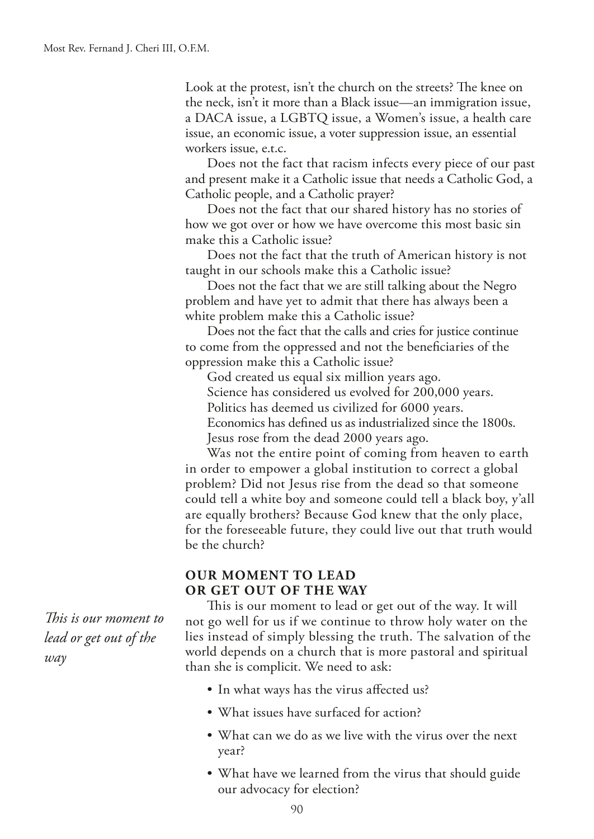Look at the protest, isn't the church on the streets? The knee on the neck, isn't it more than a Black issue—an immigration issue, a DACA issue, a LGBTQ issue, a Women's issue, a health care issue, an economic issue, a voter suppression issue, an essential workers issue, e.t.c.

Does not the fact that racism infects every piece of our past and present make it a Catholic issue that needs a Catholic God, a Catholic people, and a Catholic prayer?

Does not the fact that our shared history has no stories of how we got over or how we have overcome this most basic sin make this a Catholic issue?

Does not the fact that the truth of American history is not taught in our schools make this a Catholic issue?

Does not the fact that we are still talking about the Negro problem and have yet to admit that there has always been a white problem make this a Catholic issue?

Does not the fact that the calls and cries for justice continue to come from the oppressed and not the benefciaries of the oppression make this a Catholic issue?

God created us equal six million years ago.

Science has considered us evolved for 200,000 years.

Politics has deemed us civilized for 6000 years.

Economics has defned us as industrialized since the 1800s.

Jesus rose from the dead 2000 years ago.

Was not the entire point of coming from heaven to earth in order to empower a global institution to correct a global problem? Did not Jesus rise from the dead so that someone could tell a white boy and someone could tell a black boy, y'all are equally brothers? Because God knew that the only place, for the foreseeable future, they could live out that truth would be the church?

### **OUR MOMENT TO LEAD OR GET OUT OF THE WAY**

This is our moment to lead or get out of the way. It will not go well for us if we continue to throw holy water on the lies instead of simply blessing the truth. The salvation of the world depends on a church that is more pastoral and spiritual than she is complicit. We need to ask:

- In what ways has the virus affected us?
- What issues have surfaced for action?
- What can we do as we live with the virus over the next year?
- What have we learned from the virus that should guide our advocacy for election?

*Tis is our moment to lead or get out of the way*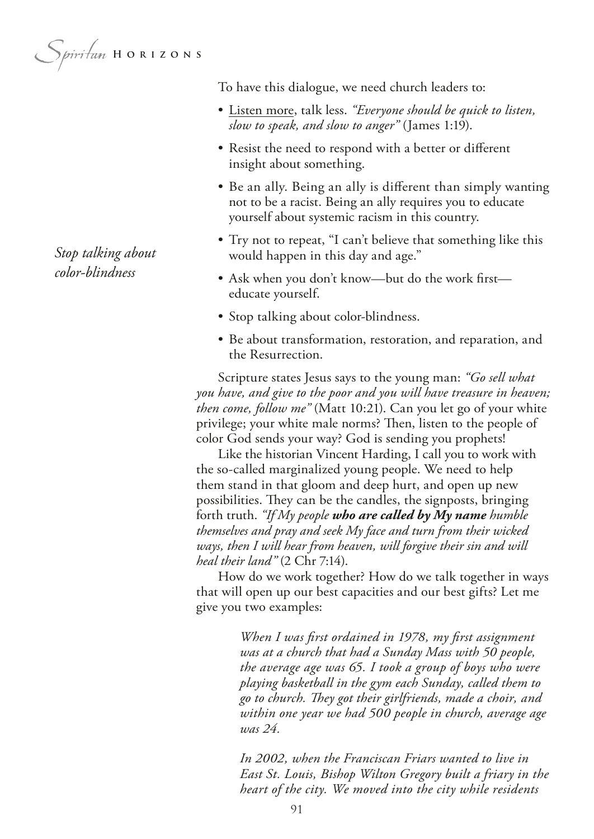*Spiritum* HORIZONS

*Stop talking about color-blindness*

To have this dialogue, we need church leaders to:

- Listen more, talk less. *"Everyone should be quick to listen, slow to speak, and slow to anger"* (James 1:19).
- Resist the need to respond with a better or diferent insight about something.
- Be an ally. Being an ally is diferent than simply wanting not to be a racist. Being an ally requires you to educate yourself about systemic racism in this country.
- Try not to repeat, "I can't believe that something like this would happen in this day and age."
- Ask when you don't know—but do the work frst educate yourself.
- Stop talking about color-blindness.
- Be about transformation, restoration, and reparation, and the Resurrection.

Scripture states Jesus says to the young man: *"Go sell what you have, and give to the poor and you will have treasure in heaven; then come, follow me"* (Matt 10:21). Can you let go of your white privilege; your white male norms? Then, listen to the people of color God sends your way? God is sending you prophets!

Like the historian Vincent Harding, I call you to work with the so-called marginalized young people. We need to help them stand in that gloom and deep hurt, and open up new possibilities. They can be the candles, the signposts, bringing forth truth. *"If My people who are called by My name humble themselves and pray and seek My face and turn from their wicked ways, then I will hear from heaven, will forgive their sin and will heal their land"* (2 Chr 7:14).

How do we work together? How do we talk together in ways that will open up our best capacities and our best gifts? Let me give you two examples:

> *When I was frst ordained in 1978, my frst assignment was at a church that had a Sunday Mass with 50 people, the average age was 65. I took a group of boys who were playing basketball in the gym each Sunday, called them to go to church. Tey got their girlfriends, made a choir, and within one year we had 500 people in church, average age was 24.*

> *In 2002, when the Franciscan Friars wanted to live in East St. Louis, Bishop Wilton Gregory built a friary in the heart of the city. We moved into the city while residents*